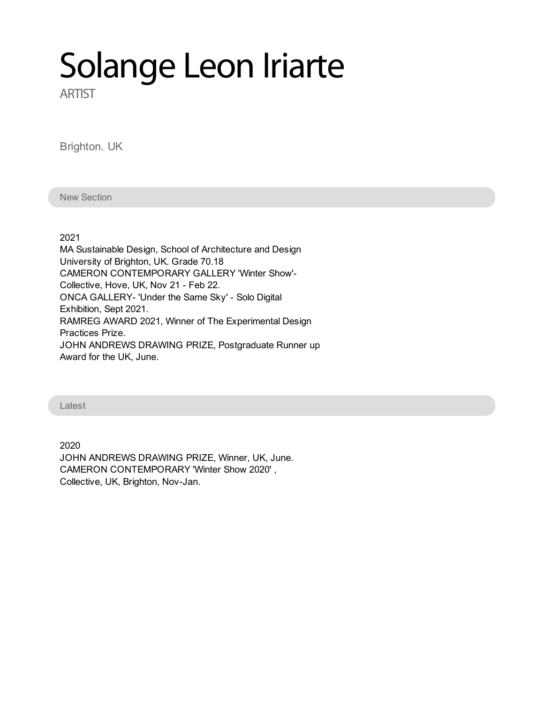# Solange Leon Iriarte

**ARTIST** 

Brighton. UK

New Section

2021

MA Sustainable Design, School of Architecture and Design University of Brighton, UK. Grade 70.18 CAMERON CONTEMPORARY GALLERY 'Winter Show'- Collective, Hove, UK, Nov 21 - Feb 22. ONCA GALLERY- 'Under the Same Sky' - Solo Digital Exhibition, Sept 2021. RAMREG AWARD 2021, Winner of The Experimental Design Practices Prize. JOHN ANDREWS DRAWING PRIZE, Postgraduate Runner up Award for the UK, June.

Latest

2020 JOHN ANDREWS DRAWING PRIZE, Winner, UK, June. CAMERON CONTEMPORARY 'Winter Show 2020' , Collective, UK, Brighton, Nov-Jan.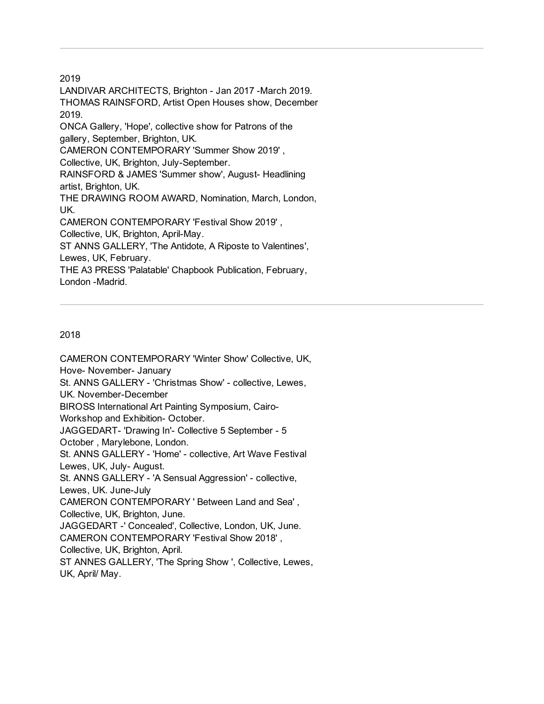LANDIVAR ARCHITECTS, Brighton - Jan 2017 -March 2019. THOMAS RAINSFORD, Artist Open Houses show, December 2019. ONCA Gallery, 'Hope', collective show for Patrons of the gallery, September, Brighton, UK. CAMERON CONTEMPORARY 'Summer Show 2019' , Collective, UK, Brighton, July-September. RAINSFORD & JAMES 'Summer show', August- Headlining artist, Brighton, UK. THE DRAWING ROOM AWARD, Nomination, March, London, UK. CAMERON CONTEMPORARY 'Festival Show 2019' , Collective, UK, Brighton, April-May. ST ANNS GALLERY, 'The Antidote, A Riposte to Valentines', Lewes, UK, February. THE A3 PRESS 'Palatable' Chapbook Publication, February, London -Madrid.

#### 2018

CAMERON CONTEMPORARY 'Winter Show' Collective, UK, Hove- November- January St. ANNS GALLERY - 'Christmas Show' - collective, Lewes, UK. November-December BIROSS International Art Painting Symposium, Cairo-Workshop and Exhibition- October. JAGGEDART- 'Drawing In'- Collective 5 September - 5 October , Marylebone, London. St. ANNS GALLERY - 'Home' - collective, Art Wave Festival Lewes, UK, July- August. St. ANNS GALLERY - 'A Sensual Aggression' - collective, Lewes, UK. June-July CAMERON CONTEMPORARY ' Between Land and Sea' , Collective, UK, Brighton, June. JAGGEDART -' Concealed', Collective, London, UK, June. CAMERON CONTEMPORARY 'Festival Show 2018' , Collective, UK, Brighton, April. ST ANNES GALLERY, 'The Spring Show ', Collective, Lewes, UK, April/ May.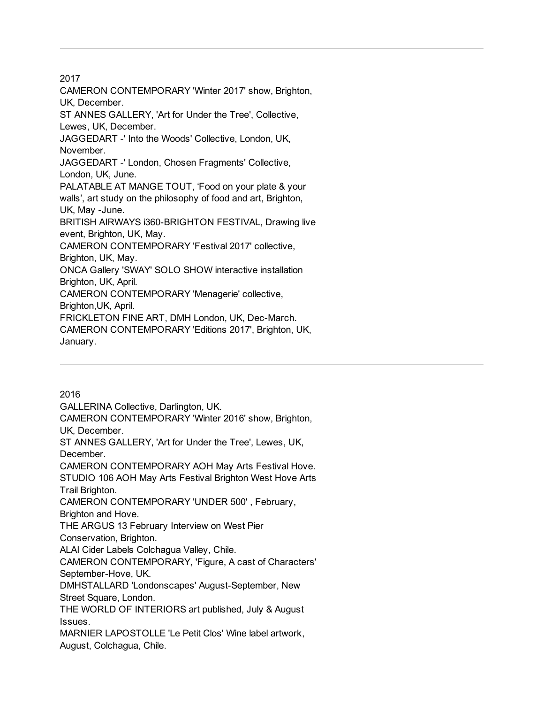CAMERON CONTEMPORARY 'Winter 2017' show, Brighton, UK, December.

ST ANNES GALLERY, 'Art for Under the Tree', Collective, Lewes, UK, December.

JAGGEDART -' Into the Woods' Collective, London, UK, November.

JAGGEDART -' London, Chosen Fragments' Collective,

London, UK, June. PALATABLE AT MANGE TOUT, 'Food on your plate & your

walls', art study on the philosophy of food and art, Brighton,

UK, May -June.

BRITISH AIRWAYS i360-BRIGHTON FESTIVAL, Drawing live event, Brighton, UK, May.

CAMERON CONTEMPORARY 'Festival 2017' collective,

Brighton, UK, May.

ONCA Gallery 'SWAY' SOLO SHOW interactive installation Brighton, UK, April.

CAMERON CONTEMPORARY 'Menagerie' collective,

Brighton,UK, April.

FRICKLETON FINE ART, DMH London, UK, Dec-March.

CAMERON CONTEMPORARY 'Editions 2017', Brighton, UK, January.

2016 GALLERINA Collective, Darlington, UK. CAMERON CONTEMPORARY 'Winter 2016' show, Brighton, UK, December. ST ANNES GALLERY, 'Art for Under the Tree', Lewes, UK, December. CAMERON CONTEMPORARY AOH May Arts Festival Hove. STUDIO 106 AOH May Arts Festival Brighton West Hove Arts Trail Brighton. CAMERON CONTEMPORARY 'UNDER 500' , February, Brighton and Hove. THE ARGUS 13 February Interview on West Pier Conservation, Brighton. ALAI Cider Labels Colchagua Valley, Chile. CAMERON CONTEMPORARY, 'Figure, A cast of Characters' September-Hove, UK. DMHSTALLARD 'Londonscapes' August-September, New Street Square, London. THE WORLD OF INTERIORS art published, July & August Issues. MARNIER LAPOSTOLLE 'Le Petit Clos' Wine label artwork, August, Colchagua, Chile.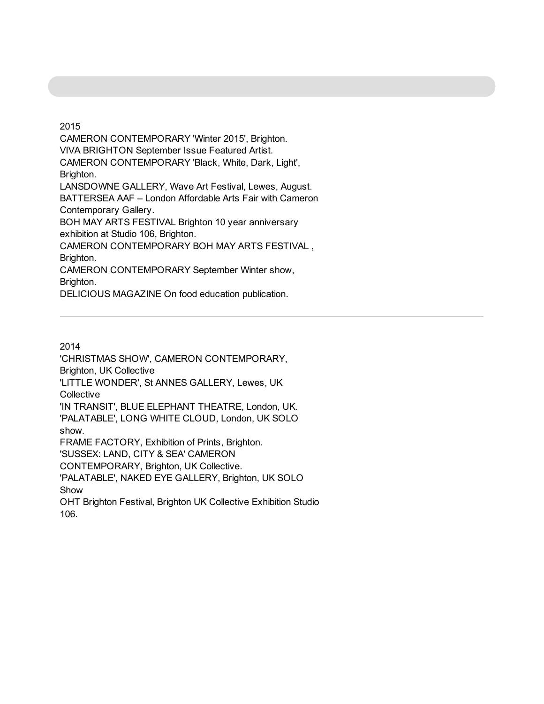CAMERON CONTEMPORARY 'Winter 2015', Brighton. VIVA BRIGHTON September Issue Featured Artist. CAMERON CONTEMPORARY 'Black, White, Dark, Light', Brighton. LANSDOWNE GALLERY, Wave Art Festival, Lewes, August. BATTERSEA AAF – London Affordable Arts Fair with Cameron Contemporary Gallery. BOH MAY ARTS FESTIVAL Brighton 10 year anniversary exhibition at Studio 106, Brighton. CAMERON CONTEMPORARY BOH MAY ARTS FESTIVAL , Brighton. CAMERON CONTEMPORARY September Winter show, Brighton.

DELICIOUS MAGAZINE On food education publication.

#### 2014

'CHRISTMAS SHOW', CAMERON CONTEMPORARY, Brighton, UK Collective 'LITTLE WONDER', St ANNES GALLERY, Lewes, UK **Collective** 'IN TRANSIT', BLUE ELEPHANT THEATRE, London, UK. 'PALATABLE', LONG WHITE CLOUD, London, UK SOLO show. FRAME FACTORY, Exhibition of Prints, Brighton. 'SUSSEX: LAND, CITY & SEA' CAMERON CONTEMPORARY, Brighton, UK Collective. 'PALATABLE', NAKED EYE GALLERY, Brighton, UK SOLO Show

OHT Brighton Festival, Brighton UK Collective Exhibition Studio 106.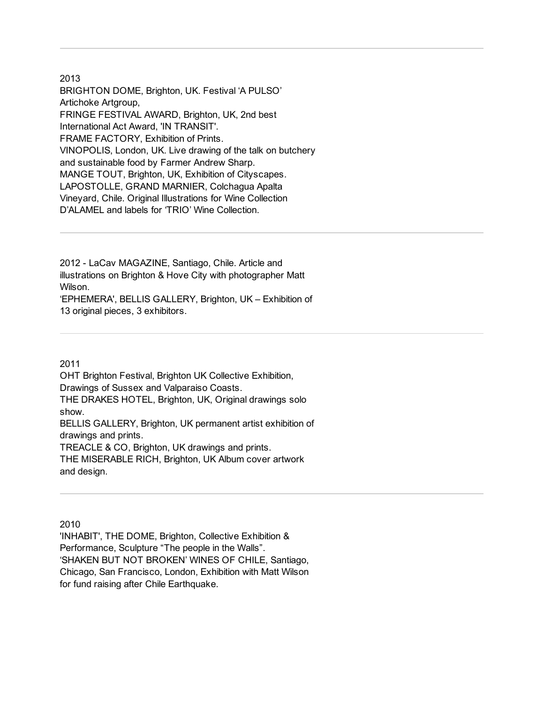BRIGHTON DOME, Brighton, UK. Festival 'A PULSO' Artichoke Artgroup, FRINGE FESTIVAL AWARD, Brighton, UK, 2nd best International Act Award, 'IN TRANSIT'. FRAME FACTORY, Exhibition of Prints. VINOPOLIS, London, UK. Live drawing of the talk on butchery and sustainable food by Farmer Andrew Sharp. MANGE TOUT, Brighton, UK, Exhibition of Cityscapes. LAPOSTOLLE, GRAND MARNIER, Colchagua Apalta Vineyard, Chile. Original Illustrations for Wine Collection D'ALAMEL and labels for 'TRIO' Wine Collection.

2012 - LaCav MAGAZINE, Santiago, Chile. Article and illustrations on Brighton & Hove City with photographer Matt Wilson.

'EPHEMERA', BELLIS GALLERY, Brighton, UK – Exhibition of 13 original pieces, 3 exhibitors.

2011

OHT Brighton Festival, Brighton UK Collective Exhibition, Drawings of Sussex and Valparaiso Coasts. THE DRAKES HOTEL, Brighton, UK, Original drawings solo show. BELLIS GALLERY, Brighton, UK permanent artist exhibition of drawings and prints. TREACLE & CO, Brighton, UK drawings and prints. THE MISERABLE RICH, Brighton, UK Album cover artwork

and design.

2010

'INHABIT', THE DOME, Brighton, Collective Exhibition & Performance, Sculpture "The people in the Walls". 'SHAKEN BUT NOT BROKEN' WINES OF CHILE, Santiago, Chicago, San Francisco, London, Exhibition with Matt Wilson for fund raising after Chile Earthquake.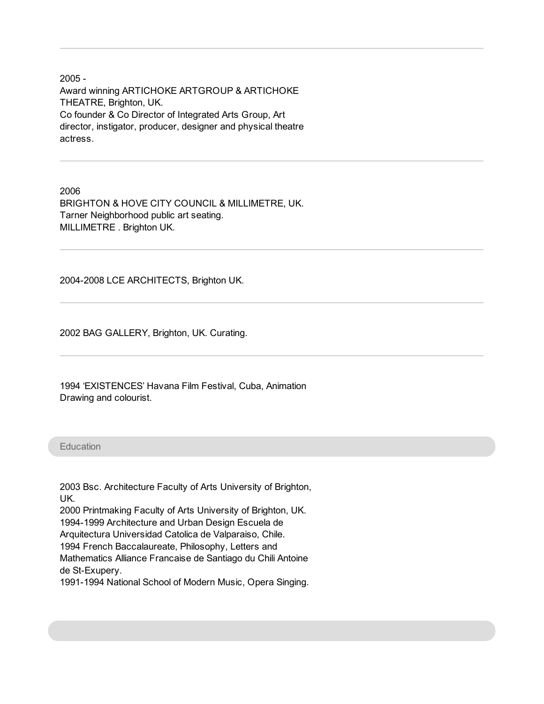2005 - Award winning ARTICHOKE ARTGROUP & ARTICHOKE THEATRE, Brighton, UK. Co founder & Co Director of Integrated Arts Group, Art director, instigator, producer, designer and physical theatre actress.

2006 BRIGHTON & HOVE CITY COUNCIL & MILLIMETRE, UK. Tarner Neighborhood public art seating. MILLIMETRE . Brighton UK.

2004-2008 LCE ARCHITECTS, Brighton UK.

2002 BAG GALLERY, Brighton, UK. Curating.

1994 'EXISTENCES' Havana Film Festival, Cuba, Animation Drawing and colourist.

#### **Education**

2003 Bsc. Architecture Faculty of Arts University of Brighton, UK. 2000 Printmaking Faculty of Arts University of Brighton, UK. 1994-1999 Architecture and Urban Design Escuela de Arquitectura Universidad Catolica de Valparaiso, Chile. 1994 French Baccalaureate, Philosophy, Letters and

Mathematics Alliance Francaise de Santiago du Chili Antoine

de St-Exupery.

1991-1994 National School of Modern Music, Opera Singing.